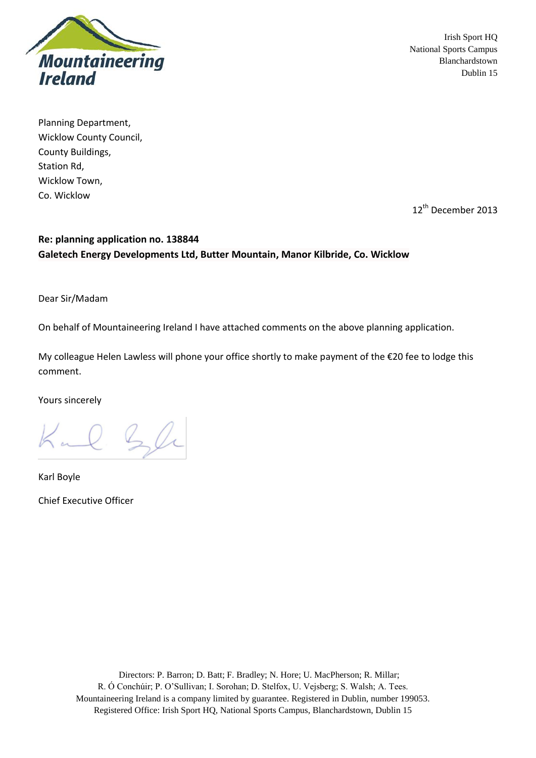

Planning Department, Wicklow County Council, County Buildings, Station Rd, Wicklow Town, Co. Wicklow

12<sup>th</sup> December 2013

## **Re: planning application no. 138844 Galetech Energy Developments Ltd, Butter Mountain, Manor Kilbride, Co. Wicklow**

Dear Sir/Madam

On behalf of Mountaineering Ireland I have attached comments on the above planning application.

My colleague Helen Lawless will phone your office shortly to make payment of the €20 fee to lodge this comment.

Yours sincerely

Kul Sli

Karl Boyle Chief Executive Officer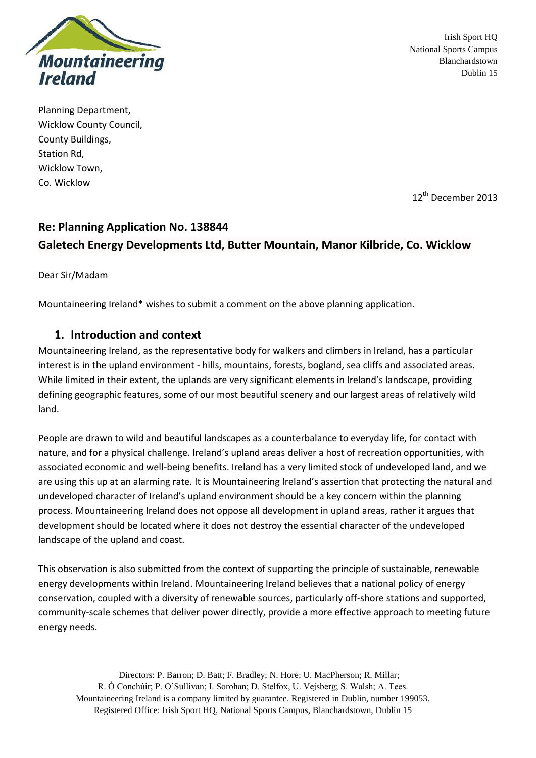

Planning Department, Wicklow County Council, County Buildings, Station Rd, Wicklow Town, Co. Wicklow

12<sup>th</sup> December 2013

# **Re: Planning Application No. 138844 Galetech Energy Developments Ltd, Butter Mountain, Manor Kilbride, Co. Wicklow**

Dear Sir/Madam

Mountaineering Ireland\* wishes to submit a comment on the above planning application.

## **1. Introduction and context**

Mountaineering Ireland, as the representative body for walkers and climbers in Ireland, has a particular interest is in the upland environment - hills, mountains, forests, bogland, sea cliffs and associated areas. While limited in their extent, the uplands are very significant elements in Ireland's landscape, providing defining geographic features, some of our most beautiful scenery and our largest areas of relatively wild land.

People are drawn to wild and beautiful landscapes as a counterbalance to everyday life, for contact with nature, and for a physical challenge. Ireland's upland areas deliver a host of recreation opportunities, with associated economic and well-being benefits. Ireland has a very limited stock of undeveloped land, and we are using this up at an alarming rate. It is Mountaineering Ireland's assertion that protecting the natural and undeveloped character of Ireland's upland environment should be a key concern within the planning process. Mountaineering Ireland does not oppose all development in upland areas, rather it argues that development should be located where it does not destroy the essential character of the undeveloped landscape of the upland and coast.

This observation is also submitted from the context of supporting the principle of sustainable, renewable energy developments within Ireland. Mountaineering Ireland believes that a national policy of energy conservation, coupled with a diversity of renewable sources, particularly off-shore stations and supported, community-scale schemes that deliver power directly, provide a more effective approach to meeting future energy needs.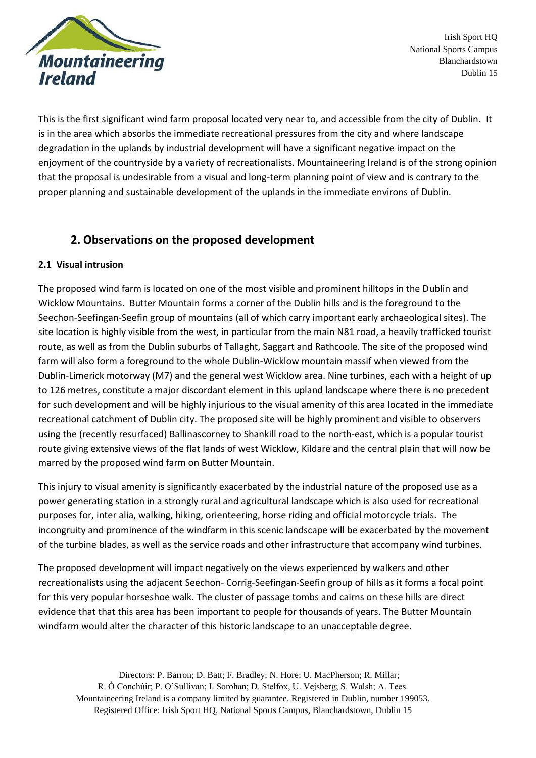

This is the first significant wind farm proposal located very near to, and accessible from the city of Dublin. It is in the area which absorbs the immediate recreational pressures from the city and where landscape degradation in the uplands by industrial development will have a significant negative impact on the enjoyment of the countryside by a variety of recreationalists. Mountaineering Ireland is of the strong opinion that the proposal is undesirable from a visual and long-term planning point of view and is contrary to the proper planning and sustainable development of the uplands in the immediate environs of Dublin.

## **2. Observations on the proposed development**

### **2.1 Visual intrusion**

The proposed wind farm is located on one of the most visible and prominent hilltops in the Dublin and Wicklow Mountains. Butter Mountain forms a corner of the Dublin hills and is the foreground to the Seechon-Seefingan-Seefin group of mountains (all of which carry important early archaeological sites). The site location is highly visible from the west, in particular from the main N81 road, a heavily trafficked tourist route, as well as from the Dublin suburbs of Tallaght, Saggart and Rathcoole. The site of the proposed wind farm will also form a foreground to the whole Dublin-Wicklow mountain massif when viewed from the Dublin-Limerick motorway (M7) and the general west Wicklow area. Nine turbines, each with a height of up to 126 metres, constitute a major discordant element in this upland landscape where there is no precedent for such development and will be highly injurious to the visual amenity of this area located in the immediate recreational catchment of Dublin city. The proposed site will be highly prominent and visible to observers using the (recently resurfaced) Ballinascorney to Shankill road to the north-east, which is a popular tourist route giving extensive views of the flat lands of west Wicklow, Kildare and the central plain that will now be marred by the proposed wind farm on Butter Mountain.

This injury to visual amenity is significantly exacerbated by the industrial nature of the proposed use as a power generating station in a strongly rural and agricultural landscape which is also used for recreational purposes for, inter alia, walking, hiking, orienteering, horse riding and official motorcycle trials. The incongruity and prominence of the windfarm in this scenic landscape will be exacerbated by the movement of the turbine blades, as well as the service roads and other infrastructure that accompany wind turbines.

The proposed development will impact negatively on the views experienced by walkers and other recreationalists using the adjacent Seechon- Corrig-Seefingan-Seefin group of hills as it forms a focal point for this very popular horseshoe walk. The cluster of passage tombs and cairns on these hills are direct evidence that that this area has been important to people for thousands of years. The Butter Mountain windfarm would alter the character of this historic landscape to an unacceptable degree.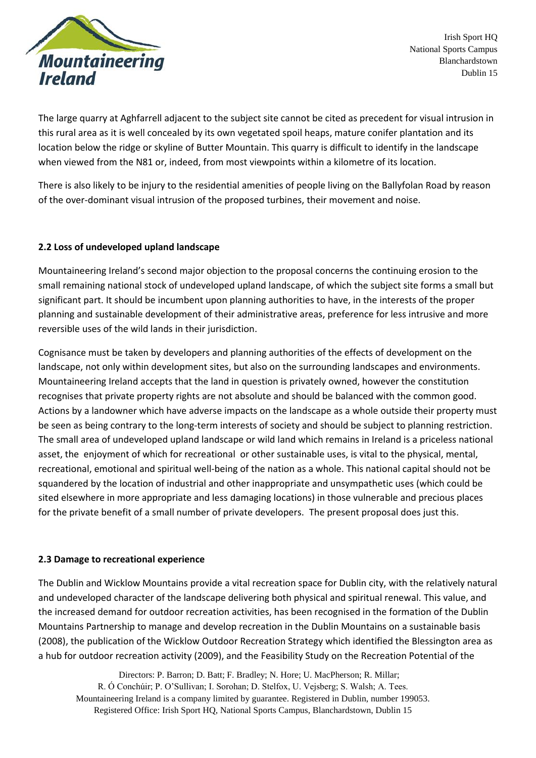

The large quarry at Aghfarrell adjacent to the subject site cannot be cited as precedent for visual intrusion in this rural area as it is well concealed by its own vegetated spoil heaps, mature conifer plantation and its location below the ridge or skyline of Butter Mountain. This quarry is difficult to identify in the landscape when viewed from the N81 or, indeed, from most viewpoints within a kilometre of its location.

There is also likely to be injury to the residential amenities of people living on the Ballyfolan Road by reason of the over-dominant visual intrusion of the proposed turbines, their movement and noise.

### **2.2 Loss of undeveloped upland landscape**

Mountaineering Ireland's second major objection to the proposal concerns the continuing erosion to the small remaining national stock of undeveloped upland landscape, of which the subject site forms a small but significant part. It should be incumbent upon planning authorities to have, in the interests of the proper planning and sustainable development of their administrative areas, preference for less intrusive and more reversible uses of the wild lands in their jurisdiction.

Cognisance must be taken by developers and planning authorities of the effects of development on the landscape, not only within development sites, but also on the surrounding landscapes and environments. Mountaineering Ireland accepts that the land in question is privately owned, however the constitution recognises that private property rights are not absolute and should be balanced with the common good. Actions by a landowner which have adverse impacts on the landscape as a whole outside their property must be seen as being contrary to the long-term interests of society and should be subject to planning restriction. The small area of undeveloped upland landscape or wild land which remains in Ireland is a priceless national asset, the enjoyment of which for recreational or other sustainable uses, is vital to the physical, mental, recreational, emotional and spiritual well-being of the nation as a whole. This national capital should not be squandered by the location of industrial and other inappropriate and unsympathetic uses (which could be sited elsewhere in more appropriate and less damaging locations) in those vulnerable and precious places for the private benefit of a small number of private developers. The present proposal does just this.

#### **2.3 Damage to recreational experience**

The Dublin and Wicklow Mountains provide a vital recreation space for Dublin city, with the relatively natural and undeveloped character of the landscape delivering both physical and spiritual renewal. This value, and the increased demand for outdoor recreation activities, has been recognised in the formation of the Dublin Mountains Partnership to manage and develop recreation in the Dublin Mountains on a sustainable basis (2008), the publication of the Wicklow Outdoor Recreation Strategy which identified the Blessington area as a hub for outdoor recreation activity (2009), and the Feasibility Study on the Recreation Potential of the